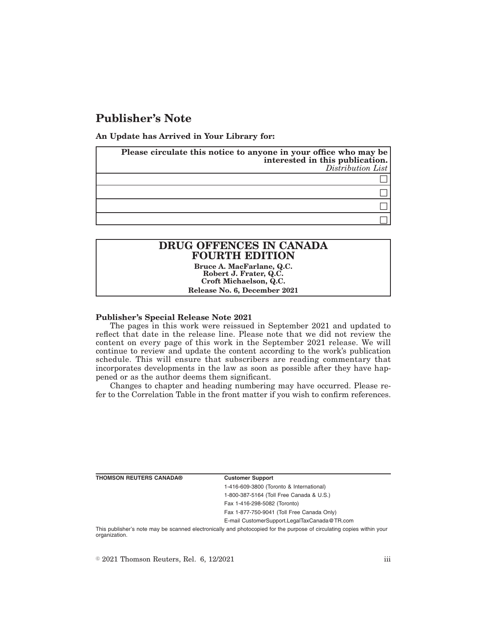# **Publisher's Note**

**An Update has Arrived in Your Library for:**

| Please circulate this notice to anyone in your office who may be<br>interested in this publication. | Distribution List |
|-----------------------------------------------------------------------------------------------------|-------------------|
|                                                                                                     |                   |
|                                                                                                     |                   |
|                                                                                                     |                   |
|                                                                                                     |                   |

## **DRUG OFFENCES IN CANADA FOURTH EDITION**

**Bruce A. MacFarlane, Q.C. Robert J. Frater, Q.C. Croft Michaelson, Q.C. Release No. 6, December 2021**

#### **Publisher's Special Release Note 2021**

The pages in this work were reissued in September 2021 and updated to reflect that date in the release line. Please note that we did not review the content on every page of this work in the September 2021 release. We will continue to review and update the content according to the work's publication schedule. This will ensure that subscribers are reading commentary that incorporates developments in the law as soon as possible after they have happened or as the author deems them significant.

Changes to chapter and heading numbering may have occurred. Please refer to the Correlation Table in the front matter if you wish to confirm references.

**THOMSON REUTERS CANADA® Customer Support**

1-416-609-3800 (Toronto & International) 1-800-387-5164 (Toll Free Canada & U.S.)

Fax 1-416-298-5082 (Toronto)

Fax 1-877-750-9041 (Toll Free Canada Only)

E-mail CustomerSupport.LegalTaxCanada@TR.com

This publisher's note may be scanned electronically and photocopied for the purpose of circulating copies within your organization.

 $\degree$  2021 Thomson Reuters, Rel. 6, 12/2021 iii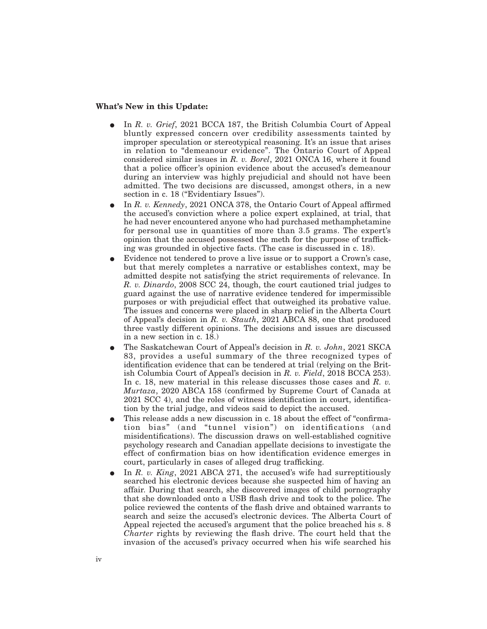## **What's New in this Update:**

- E In *R. v. Grief*, 2021 BCCA 187, the British Columbia Court of Appeal bluntly expressed concern over credibility assessments tainted by improper speculation or stereotypical reasoning. It's an issue that arises in relation to "demeanour evidence". The Ontario Court of Appeal considered similar issues in *R. v. Borel*, 2021 ONCA 16, where it found that a police officer's opinion evidence about the accused's demeanour during an interview was highly prejudicial and should not have been admitted. The two decisions are discussed, amongst others, in a new section in c. 18 ("Evidentiary Issues").
- E In *R. v. Kennedy*, 2021 ONCA 378, the Ontario Court of Appeal affirmed the accused's conviction where a police expert explained, at trial, that he had never encountered anyone who had purchased methamphetamine for personal use in quantities of more than 3.5 grams. The expert's opinion that the accused possessed the meth for the purpose of trafficking was grounded in objective facts. (The case is discussed in c. 18).
- Evidence not tendered to prove a live issue or to support a Crown's case, but that merely completes a narrative or establishes context, may be admitted despite not satisfying the strict requirements of relevance. In *R. v. Dinardo*, 2008 SCC 24, though, the court cautioned trial judges to guard against the use of narrative evidence tendered for impermissible purposes or with prejudicial effect that outweighed its probative value. The issues and concerns were placed in sharp relief in the Alberta Court of Appeal's decision in *R. v. Stauth*, 2021 ABCA 88, one that produced three vastly different opinions. The decisions and issues are discussed in a new section in c. 18.)
- E The Saskatchewan Court of Appeal's decision in *R. v. John*, 2021 SKCA 83, provides a useful summary of the three recognized types of identification evidence that can be tendered at trial (relying on the British Columbia Court of Appeal's decision in *R. v. Field*, 2018 BCCA 253). In c. 18, new material in this release discusses those cases and *R. v. Murtaza*, 2020 ABCA 158 (confirmed by Supreme Court of Canada at 2021 SCC 4), and the roles of witness identification in court, identification by the trial judge, and videos said to depict the accused.
- This release adds a new discussion in c. 18 about the effect of "confirmation bias" (and "tunnel vision") on identifications (and misidentifications). The discussion draws on well-established cognitive psychology research and Canadian appellate decisions to investigate the effect of confirmation bias on how identification evidence emerges in court, particularly in cases of alleged drug trafficking.
- In *R. v. King*, 2021 ABCA 271, the accused's wife had surreptitiously searched his electronic devices because she suspected him of having an affair. During that search, she discovered images of child pornography that she downloaded onto a USB flash drive and took to the police. The police reviewed the contents of the flash drive and obtained warrants to search and seize the accused's electronic devices. The Alberta Court of Appeal rejected the accused's argument that the police breached his s. 8 *Charter* rights by reviewing the flash drive. The court held that the invasion of the accused's privacy occurred when his wife searched his